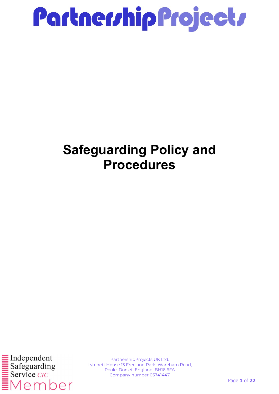

### Safeguarding Policy and Procedures



PartnershipProjects UK Ltd. Lytchett House 13 Freeland Park, Wareham Road, Poole, Dorset, England, BH16 6FA Company number 05741447

Page 1 of 22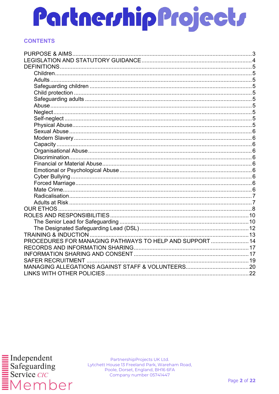### **CONTENTS**

| PROCEDURES FOR MANAGING PATHWAYS TO HELP AND SUPPORT  14 |  |
|----------------------------------------------------------|--|
|                                                          |  |
|                                                          |  |
|                                                          |  |
|                                                          |  |
|                                                          |  |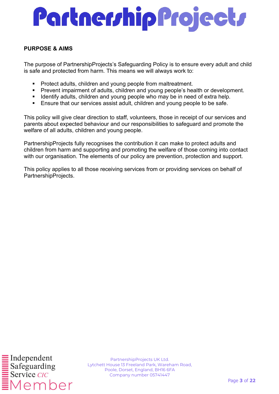#### PURPOSE & AIMS

The purpose of PartnershipProjects's Safeguarding Policy is to ensure every adult and child is safe and protected from harm. This means we will always work to:

- Protect adults, children and young people from maltreatment.
- **Prevent impairment of adults, children and young people's health or development.**
- **If Identify adults, children and young people who may be in need of extra help.**
- **Ensure that our services assist adult, children and young people to be safe.**

This policy will give clear direction to staff, volunteers, those in receipt of our services and parents about expected behaviour and our responsibilities to safeguard and promote the welfare of all adults, children and young people.

PartnershipProjects fully recognises the contribution it can make to protect adults and children from harm and supporting and promoting the welfare of those coming into contact with our organisation. The elements of our policy are prevention, protection and support.

This policy applies to all those receiving services from or providing services on behalf of PartnershipProjects.

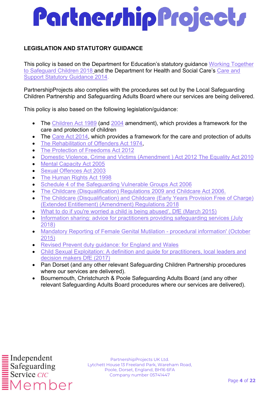### LEGISLATION AND STATUTORY GUIDANCE

This policy is based on the Department for Education's statutory quidance Working Together to Safeguard Children 2018 and the Department for Health and Social Care's Care and Support Statutory Guidance 2014.

PartnershipProjects also complies with the procedures set out by the Local Safeguarding Children Partnership and Safeguarding Adults Board where our services are being delivered.

This policy is also based on the following legislation/guidance:

- The Children Act 1989 (and 2004 amendment), which provides a framework for the care and protection of children
- The Care Act 2014, which provides a framework for the care and protection of adults
- The Rehabilitation of Offenders Act 1974,
- The Protection of Freedoms Act 2012
- Domestic Violence, Crime and Victims (Amendment ) Act 2012 The Equality Act 2010
- Mental Capacity Act 2005
- Sexual Offences Act 2003
- The Human Rights Act 1998
- Schedule 4 of the Safeguarding Vulnerable Groups Act 2006
- The Childcare (Disqualification) Regulations 2009 and Childcare Act 2006.
- The Childcare (Disqualification) and Childcare (Early Years Provision Free of Charge) (Extended Entitlement) (Amendment) Regulations 2018
- What to do if you're worried a child is being abused', DfE (March 2015)
- Information sharing: advice for practitioners providing safeguarding services (July 2018)
- Mandatory Reporting of Female Genital Mutilation procedural information' (October 2015)
- Revised Prevent duty guidance: for England and Wales
- Child Sexual Exploitation: A definition and guide for practitioners, local leaders and decision makers DfE (2017)
- Pan Dorset (and any other relevant Safeguarding Children Partnership procedures where our services are delivered).
- Bournemouth, Christchurch & Poole Safeguarding Adults Board (and any other relevant Safeguarding Adults Board procedures where our services are delivered).

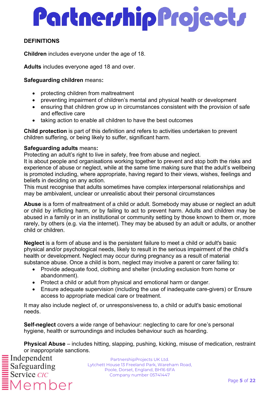#### **DEFINITIONS**

Children includes everyone under the age of 18.

Adults includes everyone aged 18 and over.

#### Safeguarding children means:

- protecting children from maltreatment
- preventing impairment of children's mental and physical health or development
- ensuring that children grow up in circumstances consistent with the provision of safe and effective care
- taking action to enable all children to have the best outcomes

Child protection is part of this definition and refers to activities undertaken to prevent children suffering, or being likely to suffer, significant harm.

#### Safeguarding adults means:

Protecting an adult's right to live in safety, free from abuse and neglect. It is about people and organisations working together to prevent and stop both the risks and experience of abuse or neglect, while at the same time making sure that the adult's wellbeing is promoted including, where appropriate, having regard to their views, wishes, feelings and beliefs in deciding on any action.

This must recognise that adults sometimes have complex interpersonal relationships and may be ambivalent, unclear or unrealistic about their personal circumstances

Abuse is a form of maltreatment of a child or adult. Somebody may abuse or neglect an adult or child by inflicting harm, or by failing to act to prevent harm. Adults and children may be abused in a family or in an institutional or community setting by those known to them or, more rarely, by others (e.g. via the internet). They may be abused by an adult or adults, or another child or children.

Neglect is a form of abuse and is the persistent failure to meet a child or adult's basic physical and/or psychological needs, likely to result in the serious impairment of the child's health or development. Neglect may occur during pregnancy as a result of material substance abuse. Once a child is born, neglect may involve a parent or carer failing to:

- Provide adequate food, clothing and shelter (including exclusion from home or abandonment).
- Protect a child or adult from physical and emotional harm or danger.
- Ensure adequate supervision (including the use of inadequate care-givers) or Ensure access to appropriate medical care or treatment.

It may also include neglect of, or unresponsiveness to, a child or adult's basic emotional needs.

Self-neglect covers a wide range of behaviour: neglecting to care for one's personal hygiene, health or surroundings and includes behaviour such as hoarding.

Physical Abuse – includes hitting, slapping, pushing, kicking, misuse of medication, restraint or inappropriate sanctions.

Independent Independent<br>
Safeguarding<br>
Service *CIC Aember*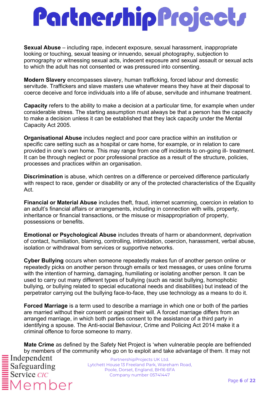Sexual Abuse – including rape, indecent exposure, sexual harassment, inappropriate looking or touching, sexual teasing or innuendo, sexual photography, subjection to pornography or witnessing sexual acts, indecent exposure and sexual assault or sexual acts to which the adult has not consented or was pressured into consenting.

Modern Slavery encompasses slavery, human trafficking, forced labour and domestic servitude. Traffickers and slave masters use whatever means they have at their disposal to coerce deceive and force individuals into a life of abuse, servitude and inhumane treatment.

Capacity refers to the ability to make a decision at a particular time, for example when under considerable stress. The starting assumption must always be that a person has the capacity to make a decision unless it can be established that they lack capacity under the Mental Capacity Act 2005.

Organisational Abuse includes neglect and poor care practice within an institution or specific care setting such as a hospital or care home, for example, or in relation to care provided in one's own home. This may range from one off incidents to on-going ill- treatment. It can be through neglect or poor professional practice as a result of the structure, policies, processes and practices within an organisation.

Discrimination is abuse, which centres on a difference or perceived difference particularly with respect to race, gender or disability or any of the protected characteristics of the Equality Act.

Financial or Material Abuse includes theft, fraud, internet scamming, coercion in relation to an adult's financial affairs or arrangements, including in connection with wills, property, inheritance or financial transactions, or the misuse or misappropriation of property, possessions or benefits.

Emotional or Psychological Abuse includes threats of harm or abandonment, deprivation of contact, humiliation, blaming, controlling, intimidation, coercion, harassment, verbal abuse, isolation or withdrawal from services or supportive networks.

Cyber Bullying occurs when someone repeatedly makes fun of another person online or repeatedly picks on another person through emails or text messages, or uses online forums with the intention of harming, damaging, humiliating or isolating another person. It can be used to carry out many different types of bullying (such as racist bullying, homophobic bullying, or bullying related to special educational needs and disabilities) but instead of the perpetrator carrying out the bullying face-to-face, they use technology as a means to do it.

Forced Marriage is a term used to describe a marriage in which one or both of the parties are married without their consent or against their will. A forced marriage differs from an arranged marriage, in which both parties consent to the assistance of a third party in identifying a spouse. The Anti-social Behaviour, Crime and Policing Act 2014 make it a criminal offence to force someone to marry.

**Mate Crime** as defined by the Safety Net Project is 'when vulnerable people are befriended<br>by members of the community who go on to exploit and take advantage of them. It may not<br>**EXA COMPARE A** Experimental Projects UK by members of the community who go on to exploit and take advantage of them. It may not

*Aember*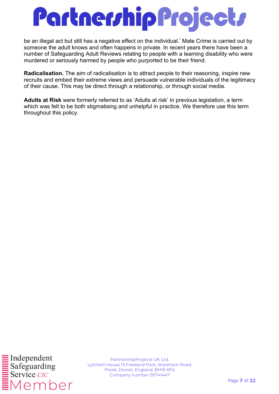be an illegal act but still has a negative effect on the individual.' Mate Crime is carried out by someone the adult knows and often happens in private. In recent years there have been a number of Safeguarding Adult Reviews relating to people with a learning disability who were murdered or seriously harmed by people who purported to be their friend.

Radicalisation. The aim of radicalisation is to attract people to their reasoning, inspire new recruits and embed their extreme views and persuade vulnerable individuals of the legitimacy of their cause. This may be direct through a relationship, or through social media.

Adults at Risk were formerly referred to as 'Adults at risk' in previous legislation, a term which was felt to be both stigmatising and unhelpful in practice. We therefore use this term throughout this policy.

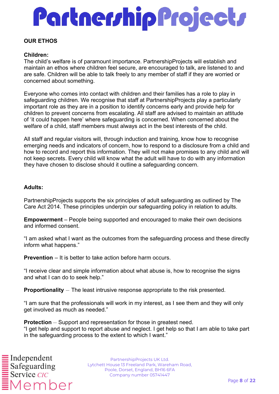#### OUR ETHOS

#### Children:

The child's welfare is of paramount importance. PartnershipProjects will establish and maintain an ethos where children feel secure, are encouraged to talk, are listened to and are safe. Children will be able to talk freely to any member of staff if they are worried or concerned about something.

Everyone who comes into contact with children and their families has a role to play in safeguarding children. We recognise that staff at PartnershipProjects play a particularly important role as they are in a position to identify concerns early and provide help for children to prevent concerns from escalating. All staff are advised to maintain an attitude of 'it could happen here' where safeguarding is concerned. When concerned about the welfare of a child, staff members must always act in the best interests of the child.

All staff and regular visitors will, through induction and training, know how to recognise emerging needs and indicators of concern, how to respond to a disclosure from a child and how to record and report this information. They will not make promises to any child and will not keep secrets. Every child will know what the adult will have to do with any information they have chosen to disclose should it outline a safeguarding concern.

#### Adults:

PartnershipProjects supports the six principles of adult safeguarding as outlined by The Care Act 2014. These principles underpin our safeguarding policy in relation to adults.

Empowerment – People being supported and encouraged to make their own decisions and informed consent.

"I am asked what I want as the outcomes from the safeguarding process and these directly inform what happens."

Prevention – It is better to take action before harm occurs.

"I receive clear and simple information about what abuse is, how to recognise the signs and what I can do to seek help."

**Proportionality** – The least intrusive response appropriate to the risk presented.

"I am sure that the professionals will work in my interest, as I see them and they will only get involved as much as needed."

Protection – Support and representation for those in greatest need. "I get help and support to report abuse and neglect. I get help so that I am able to take part in the safeguarding process to the extent to which I want."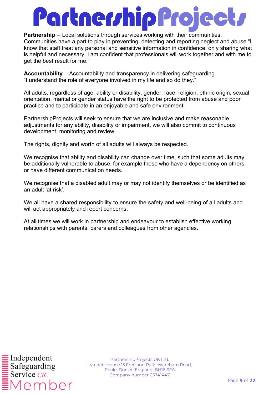**Partnership** – Local solutions through services working with their communities. Communities have a part to play in preventing, detecting and reporting neglect and abuse "I know that staff treat any personal and sensitive information in confidence, only sharing what is helpful and necessary. I am confident that professionals will work together and with me to get the best result for me."

Accountability – Accountability and transparency in delivering safeguarding. "I understand the role of everyone involved in my life and so do they."

All adults, regardless of age, ability or disability, gender, race, religion, ethnic origin, sexual orientation, marital or gender status have the right to be protected from abuse and poor practice and to participate in an enjoyable and safe environment.

PartnershipProjects will seek to ensure that we are inclusive and make reasonable adjustments for any ability, disability or impairment, we will also commit to continuous development, monitoring and review.

The rights, dignity and worth of all adults will always be respected.

We recognise that ability and disability can change over time, such that some adults may be additionally vulnerable to abuse, for example those who have a dependency on others or have different communication needs.

We recognise that a disabled adult may or may not identify themselves or be identified as an adult 'at risk'.

We all have a shared responsibility to ensure the safety and well-being of all adults and will act appropriately and report concerns.

At all times we will work in partnership and endeavour to establish effective working relationships with parents, carers and colleagues from other agencies.

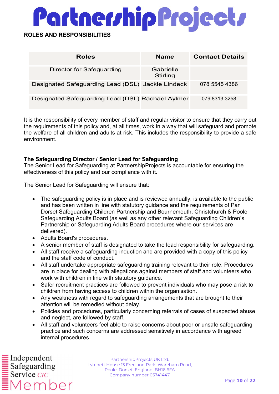#### ROLES AND RESPONSIBILITIES

| <b>Roles</b>                                      | <b>Name</b>           | <b>Contact Details</b> |
|---------------------------------------------------|-----------------------|------------------------|
| Director for Safeguarding                         | Gabrielle<br>Stirling |                        |
| Designated Safeguarding Lead (DSL) Jackie Lindeck |                       | 078 5545 4386          |
| Designated Safeguarding Lead (DSL) Rachael Aylmer |                       | 079 8313 3258          |

It is the responsibility of every member of staff and regular visitor to ensure that they carry out the requirements of this policy and, at all times, work in a way that will safeguard and promote the welfare of all children and adults at risk. This includes the responsibility to provide a safe environment.

#### The Safeguarding Director / Senior Lead for Safeguarding

The Senior Lead for Safeguarding at PartnershipProjects is accountable for ensuring the effectiveness of this policy and our compliance with it.

The Senior Lead for Safeguarding will ensure that:

- The safeguarding policy is in place and is reviewed annually, is available to the public and has been written in line with statutory guidance and the requirements of Pan Dorset Safeguarding Children Partnership and Bournemouth, Christchurch & Poole Safeguarding Adults Board (as well as any other relevant Safeguarding Children's Partnership or Safeguarding Adults Board procedures where our services are delivered).
- Adults Board's procedures.
- A senior member of staff is designated to take the lead responsibility for safeguarding.
- All staff receive a safeguarding induction and are provided with a copy of this policy and the staff code of conduct.
- All staff undertake appropriate safeguarding training relevant to their role. Procedures are in place for dealing with allegations against members of staff and volunteers who work with children in line with statutory guidance.
- Safer recruitment practices are followed to prevent individuals who may pose a risk to children from having access to children within the organisation.
- Any weakness with regard to safeguarding arrangements that are brought to their attention will be remedied without delay.
- Policies and procedures, particularly concerning referrals of cases of suspected abuse and neglect, are followed by staff.
- All staff and volunteers feel able to raise concerns about poor or unsafe safeguarding practice and such concerns are addressed sensitively in accordance with agreed internal procedures.

Independent  $\equiv$  Safeguarding Service CIC 1ember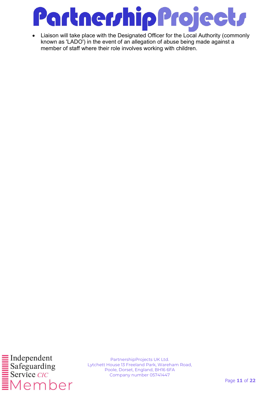

 Liaison will take place with the Designated Officer for the Local Authority (commonly known as 'LADO') in the event of an allegation of abuse being made against a member of staff where their role involves working with children.

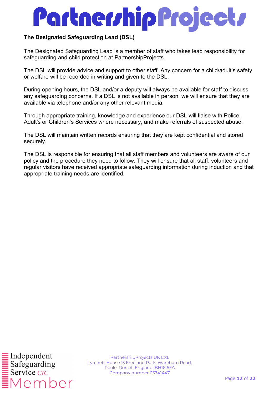#### The Designated Safeguarding Lead (DSL)

The Designated Safeguarding Lead is a member of staff who takes lead responsibility for safeguarding and child protection at PartnershipProjects.

The DSL will provide advice and support to other staff. Any concern for a child/adult's safety or welfare will be recorded in writing and given to the DSL.

During opening hours, the DSL and/or a deputy will always be available for staff to discuss any safeguarding concerns. If a DSL is not available in person, we will ensure that they are available via telephone and/or any other relevant media.

Through appropriate training, knowledge and experience our DSL will liaise with Police, Adult's or Children's Services where necessary, and make referrals of suspected abuse.

The DSL will maintain written records ensuring that they are kept confidential and stored securely.

The DSL is responsible for ensuring that all staff members and volunteers are aware of our policy and the procedure they need to follow. They will ensure that all staff, volunteers and regular visitors have received appropriate safeguarding information during induction and that appropriate training needs are identified.

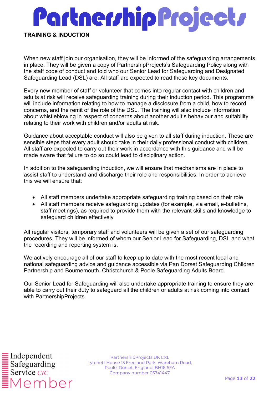# Partnership Projects

#### TRAINING & INDUCTION

When new staff join our organisation, they will be informed of the safeguarding arrangements in place. They will be given a copy of PartnershipProjects's Safeguarding Policy along with the staff code of conduct and told who our Senior Lead for Safeguarding and Designated Safeguarding Lead (DSL) are. All staff are expected to read these key documents.

Every new member of staff or volunteer that comes into regular contact with children and adults at risk will receive safeguarding training during their induction period. This programme will include information relating to how to manage a disclosure from a child, how to record concerns, and the remit of the role of the DSL. The training will also include information about whistleblowing in respect of concerns about another adult's behaviour and suitability relating to their work with children and/or adults at risk.

Guidance about acceptable conduct will also be given to all staff during induction. These are sensible steps that every adult should take in their daily professional conduct with children. All staff are expected to carry out their work in accordance with this guidance and will be made aware that failure to do so could lead to disciplinary action.

In addition to the safeguarding induction, we will ensure that mechanisms are in place to assist staff to understand and discharge their role and responsibilities. In order to achieve this we will ensure that:

- All staff members undertake appropriate safeguarding training based on their role
- All staff members receive safeguarding updates (for example, via email, e-bulletins, staff meetings), as required to provide them with the relevant skills and knowledge to safeguard children effectively

All regular visitors, temporary staff and volunteers will be given a set of our safeguarding procedures. They will be informed of whom our Senior Lead for Safeguarding, DSL and what the recording and reporting system is.

We actively encourage all of our staff to keep up to date with the most recent local and national safeguarding advice and guidance accessible via Pan Dorset Safeguarding Children Partnership and Bournemouth, Christchurch & Poole Safeguarding Adults Board.

Our Senior Lead for Safeguarding will also undertake appropriate training to ensure they are able to carry out their duty to safeguard all the children or adults at risk coming into contact with PartnershipProjects.

Independent  $\equiv$  Independent<br> $\equiv$  Safeguarding<br>Service *CIC*<br> $\equiv$  Member **Member**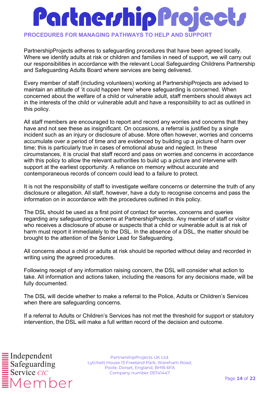### Partnership Projects PROCEDURES FOR MANAGING PATHWAYS TO HELP AND SUPPORT

PartnershipProjects adheres to safeguarding procedures that have been agreed locally. Where we identify adults at risk or children and families in need of support, we will carry out our responsibilities in accordance with the relevant Local Safeguarding Childrens Partnership and Safeguarding Adults Board where services are being delivered.

Every member of staff (including volunteers) working at PartnershipProjects are advised to maintain an attitude of 'it could happen here' where safeguarding is concerned. When concerned about the welfare of a child or vulnerable adult, staff members should always act in the interests of the child or vulnerable adult and have a responsibility to act as outlined in this policy.

All staff members are encouraged to report and record any worries and concerns that they have and not see these as insignificant. On occasions, a referral is justified by a single incident such as an injury or disclosure of abuse. More often however, worries and concerns accumulate over a period of time and are evidenced by building up a picture of harm over time; this is particularly true in cases of emotional abuse and neglect. In these circumstances, it is crucial that staff record and pass on worries and concerns in accordance with this policy to allow the relevant authorities to build up a picture and intervene with support at the earliest opportunity. A reliance on memory without accurate and contemporaneous records of concern could lead to a failure to protect.

It is not the responsibility of staff to investigate welfare concerns or determine the truth of any disclosure or allegation. All staff, however, have a duty to recognise concerns and pass the information on in accordance with the procedures outlined in this policy.

The DSL should be used as a first point of contact for worries, concerns and queries regarding any safeguarding concerns at PartnershipProjects. Any member of staff or visitor who receives a disclosure of abuse or suspects that a child or vulnerable adult is at risk of harm must report it immediately to the DSL. In the absence of a DSL, the matter should be brought to the attention of the Senior Lead for Safeguarding.

All concerns about a child or adults at risk should be reported without delay and recorded in writing using the agreed procedures.

Following receipt of any information raising concern, the DSL will consider what action to take. All information and actions taken, including the reasons for any decisions made, will be fully documented.

The DSL will decide whether to make a referral to the Police, Adults or Children's Services when there are safeguarding concerns.

If a referral to Adults or Children's Services has not met the threshold for support or statutory intervention, the DSL will make a full written record of the decision and outcome.

Independent  $\begin{array}{r}\n\equiv \text{Maependen} \\
\equiv \text{Safeguarding} \\
\equiv \text{Service } \text{CIC}\n\end{array}$ Member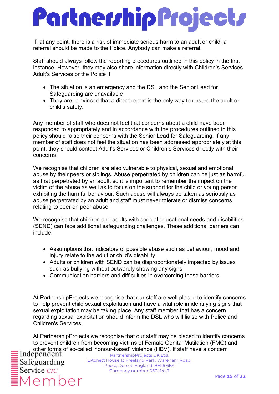If, at any point, there is a risk of immediate serious harm to an adult or child, a referral should be made to the Police. Anybody can make a referral.

Staff should always follow the reporting procedures outlined in this policy in the first instance. However, they may also share information directly with Children's Services, Adult's Services or the Police if:

- The situation is an emergency and the DSL and the Senior Lead for Safeguarding are unavailable
- They are convinced that a direct report is the only way to ensure the adult or child's safety.

Any member of staff who does not feel that concerns about a child have been responded to appropriately and in accordance with the procedures outlined in this policy should raise their concerns with the Senior Lead for Safeguarding. If any member of staff does not feel the situation has been addressed appropriately at this point, they should contact Adult's Services or Children's Services directly with their concerns.

We recognise that children are also vulnerable to physical, sexual and emotional abuse by their peers or siblings. Abuse perpetrated by children can be just as harmful as that perpetrated by an adult, so it is important to remember the impact on the victim of the abuse as well as to focus on the support for the child or young person exhibiting the harmful behaviour. Such abuse will always be taken as seriously as abuse perpetrated by an adult and staff must never tolerate or dismiss concerns relating to peer on peer abuse.

We recognise that children and adults with special educational needs and disabilities (SEND) can face additional safeguarding challenges. These additional barriers can include:

- Assumptions that indicators of possible abuse such as behaviour, mood and injury relate to the adult or child's disability
- Adults or children with SEND can be disproportionately impacted by issues such as bullying without outwardly showing any signs
- Communication barriers and difficulties in overcoming these barriers

At PartnershipProjects we recognise that our staff are well placed to identify concerns to help prevent child sexual exploitation and have a vital role in identifying signs that sexual exploitation may be taking place. Any staff member that has a concern regarding sexual exploitation should inform the DSL who will liaise with Police and Children's Services.

At PartnershipProjects we recognise that our staff may be placed to identify concerns to prevent children from becoming victims of Female Genital Mutilation (FMG) and other forms of so-called 'honour-based' violence (HBV). If staff have a concern

> PartnershipProjects UK Ltd. Lytchett House 13 Freeland Park, Wareham Road, Poole, Dorset, England, BH16 6FA Company number 05741447

Safeguarding Service CIC

ember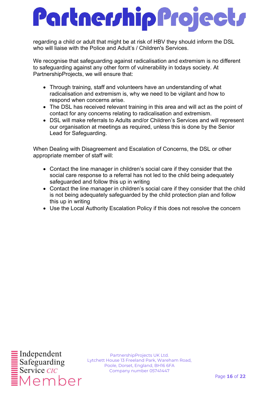regarding a child or adult that might be at risk of HBV they should inform the DSL who will liaise with the Police and Adult's / Children's Services.

We recognise that safeguarding against radicalisation and extremism is no different to safeguarding against any other form of vulnerability in todays society. At PartnershipProjects, we will ensure that:

- Through training, staff and volunteers have an understanding of what radicalisation and extremism is, why we need to be vigilant and how to respond when concerns arise.
- The DSL has received relevant training in this area and will act as the point of contact for any concerns relating to radicalisation and extremism.
- DSL will make referrals to Adults and/or Children's Services and will represent our organisation at meetings as required, unless this is done by the Senior Lead for Safeguarding.

When Dealing with Disagreement and Escalation of Concerns, the DSL or other appropriate member of staff will:

- Contact the line manager in children's social care if they consider that the social care response to a referral has not led to the child being adequately safeguarded and follow this up in writing
- Contact the line manager in children's social care if they consider that the child is not being adequately safeguarded by the child protection plan and follow this up in writing
- Use the Local Authority Escalation Policy if this does not resolve the concern

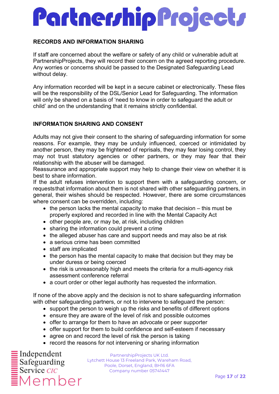#### RECORDS AND INFORMATION SHARING

If staff are concerned about the welfare or safety of any child or vulnerable adult at PartnershipProjects, they will record their concern on the agreed reporting procedure. Any worries or concerns should be passed to the Designated Safeguarding Lead without delay.

Any information recorded will be kept in a secure cabinet or electronically. These files will be the responsibility of the DSL/Senior Lead for Safeguarding. The information will only be shared on a basis of 'need to know in order to safeguard the adult or child' and on the understanding that it remains strictly confidential.

#### INFORMATION SHARING AND CONSENT

Adults may not give their consent to the sharing of safeguarding information for some reasons. For example, they may be unduly influenced, coerced or intimidated by another person, they may be frightened of reprisals, they may fear losing control, they may not trust statutory agencies or other partners, or they may fear that their relationship with the abuser will be damaged.

Reassurance and appropriate support may help to change their view on whether it is best to share information.

If the adult refuses intervention to support them with a safeguarding concern, or requests that information about them is not shared with other safeguarding partners, in general, their wishes should be respected. However, there are some circumstances where consent can be overridden, including:

- $\bullet$  the person lacks the mental capacity to make that decision this must be properly explored and recorded in line with the Mental Capacity Act
- other people are, or may be, at risk, including children
- sharing the information could prevent a crime
- the alleged abuser has care and support needs and may also be at risk
- a serious crime has been committed
- staff are implicated
- the person has the mental capacity to make that decision but they may be under duress or being coerced
- the risk is unreasonably high and meets the criteria for a multi-agency risk assessment conference referral
- a court order or other legal authority has requested the information.

If none of the above apply and the decision is not to share safeguarding information with other safeguarding partners, or not to intervene to safeguard the person:

- support the person to weigh up the risks and benefits of different options
- ensure they are aware of the level of risk and possible outcomes
- offer to arrange for them to have an advocate or peer supporter
- offer support for them to build confidence and self-esteem if necessary
- agree on and record the level of risk the person is taking
- record the reasons for not intervening or sharing information

Independent  $\equiv$  Safeguarding<br> $\equiv$  Service *CIC* 1ember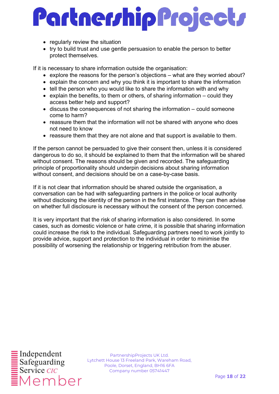### Partnership Projects

- regularly review the situation
- try to build trust and use gentle persuasion to enable the person to better protect themselves.

If it is necessary to share information outside the organisation:

- explore the reasons for the person's objections what are they worried about?
- explain the concern and why you think it is important to share the information
- tell the person who you would like to share the information with and why
- explain the benefits, to them or others, of sharing information  $-$  could they access better help and support?
- discuss the consequences of not sharing the information could someone come to harm?
- reassure them that the information will not be shared with anyone who does not need to know
- reassure them that they are not alone and that support is available to them.

If the person cannot be persuaded to give their consent then, unless it is considered dangerous to do so, it should be explained to them that the information will be shared without consent. The reasons should be given and recorded. The safeguarding principle of proportionality should underpin decisions about sharing information without consent, and decisions should be on a case-by-case basis.

If it is not clear that information should be shared outside the organisation, a conversation can be had with safeguarding partners in the police or local authority without disclosing the identity of the person in the first instance. They can then advise on whether full disclosure is necessary without the consent of the person concerned.

It is very important that the risk of sharing information is also considered. In some cases, such as domestic violence or hate crime, it is possible that sharing information could increase the risk to the individual. Safeguarding partners need to work jointly to provide advice, support and protection to the individual in order to minimise the possibility of worsening the relationship or triggering retribution from the abuser.

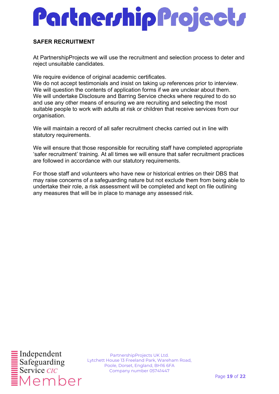#### SAFER RECRUITMENT

At PartnershipProjects we will use the recruitment and selection process to deter and reject unsuitable candidates.

We require evidence of original academic certificates.

We do not accept testimonials and insist on taking up references prior to interview. We will question the contents of application forms if we are unclear about them. We will undertake Disclosure and Barring Service checks where required to do so and use any other means of ensuring we are recruiting and selecting the most suitable people to work with adults at risk or children that receive services from our organisation.

We will maintain a record of all safer recruitment checks carried out in line with statutory requirements.

We will ensure that those responsible for recruiting staff have completed appropriate 'safer recruitment' training. At all times we will ensure that safer recruitment practices are followed in accordance with our statutory requirements.

For those staff and volunteers who have new or historical entries on their DBS that may raise concerns of a safeguarding nature but not exclude them from being able to undertake their role, a risk assessment will be completed and kept on file outlining any measures that will be in place to manage any assessed risk.

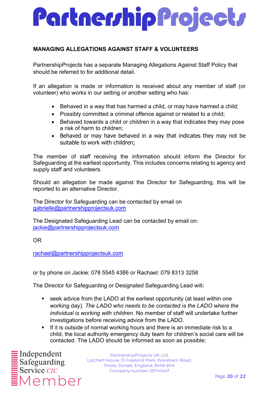## Partnership Projects

#### MANAGING ALLEGATIONS AGAINST STAFF & VOLUNTEERS

PartnershipProjects has a separate Managing Allegations Against Staff Policy that should be referred to for additional detail.

If an allegation is made or information is received about any member of staff (or volunteer) who works in our setting or another setting who has:

- Behaved in a way that has harmed a child, or may have harmed a child;
- Possibly committed a criminal offence against or related to a child;
- Behaved towards a child or children in a way that indicates they may pose a risk of harm to children;
- Behaved or may have behaved in a way that indicates they may not be suitable to work with children;

The member of staff receiving the information should inform the Director for Safeguarding at the earliest opportunity. This includes concerns relating to agency and supply staff and volunteers.

Should an allegation be made against the Director for Safeguarding, this will be reported to an alternative Director.

The Director for Safeguarding can be contacted by email on gabrielle@partnershipprojectsuk.com

The Designated Safeguarding Lead can be contacted by email on: jackie@partnershipprojectsuk.com

OR

rachael@partnershipprojectsuk.com

or by phone on Jackie: 078 5545 4386 or Rachael: 079 8313 3258

The Director for Safeguarding or Designated Safeguarding Lead will:

- seek advice from the LADO at the earliest opportunity (at least within one working day). The LADO who needs to be contacted is the LADO where the individual is working with children. No member of staff will undertake further investigations before receiving advice from the LADO.
- If it is outside of normal working hours and there is an immediate risk to a child, the local authority emergency duty team for children's social care will be contacted. The LADO should be informed as soon as possible;

1ember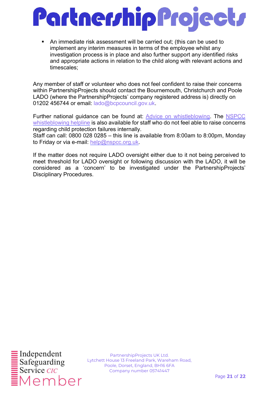An immediate risk assessment will be carried out; (this can be used to implement any interim measures in terms of the employee whilst any investigation process is in place and also further support any identified risks and appropriate actions in relation to the child along with relevant actions and timescales;

Any member of staff or volunteer who does not feel confident to raise their concerns within PartnershipProjects should contact the Bournemouth, Christchurch and Poole LADO (where the PartnershipProjects' company registered address is) directly on 01202 456744 or email: lado@bcpcouncil.gov.uk.

Further national guidance can be found at: Advice on whistleblowing. The NSPCC whistleblowing helpline is also available for staff who do not feel able to raise concerns regarding child protection failures internally.

Staff can call: 0800 028 0285 – this line is available from 8:00am to 8:00pm, Monday to Friday or via e-mail: help@nspcc.org.uk.

If the matter does not require LADO oversight either due to it not being perceived to meet threshold for LADO oversight or following discussion with the LADO, it will be considered as a 'concern' to be investigated under the PartnershipProjects' Disciplinary Procedures.